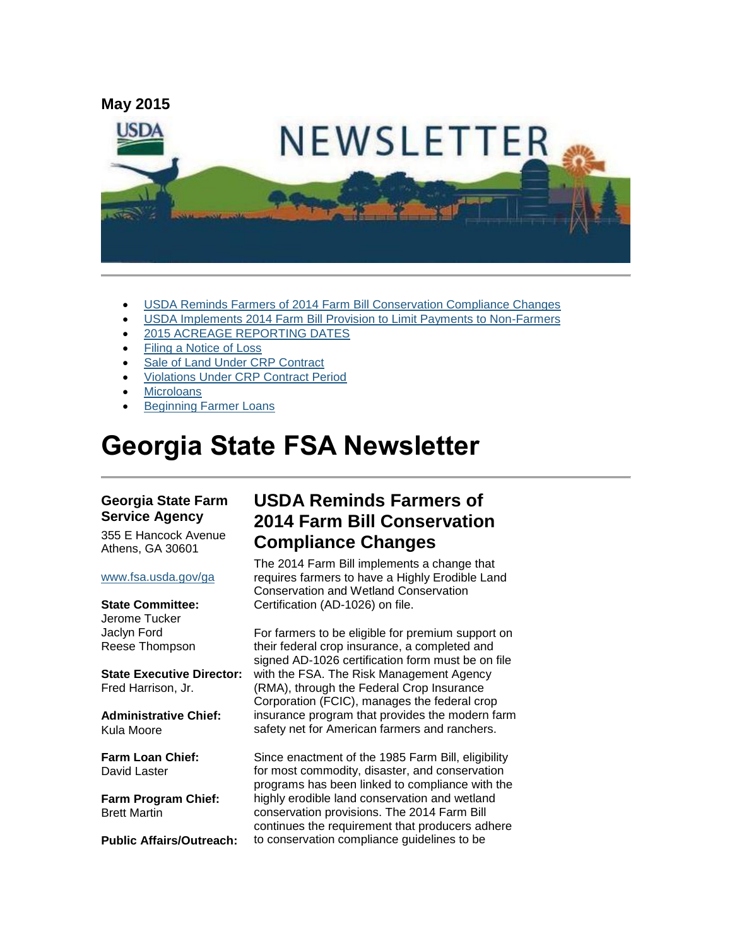

- [USDA Reminds Farmers of 2014 Farm Bill Conservation Compliance Changes](#page-0-0)
- [USDA Implements 2014 Farm Bill Provision to Limit Payments to Non-Farmers](#page-1-0)
- [2015 ACREAGE REPORTING DATES](#page-2-0)
- [Filing a Notice of Loss](#page-3-0)
- [Sale of Land Under CRP Contract](#page-3-1)
- [Violations Under CRP Contract Period](#page-3-2)
- **[Microloans](#page-3-3)**
- [Beginning Farmer Loans](#page-4-0)

# **Georgia State FSA Newsletter**

#### **Georgia State Farm Service Agency**

355 E Hancock Avenue Athens, GA 30601

#### [www.fsa.usda.gov/ga](http://www.fsa.usda.gov/ga)

#### **State Committee:**

Jerome Tucker Jaclyn Ford Reese Thompson

**State Executive Director:** Fred Harrison, Jr.

**Administrative Chief:** Kula Moore

**Farm Loan Chief:** David Laster

**Farm Program Chief:** Brett Martin

**Public Affairs/Outreach:**

## <span id="page-0-0"></span>**USDA Reminds Farmers of 2014 Farm Bill Conservation Compliance Changes**

The 2014 Farm Bill implements a change that requires farmers to have a Highly Erodible Land Conservation and Wetland Conservation Certification (AD-1026) on file.

For farmers to be eligible for premium support on their federal crop insurance, a completed and signed AD-1026 certification form must be on file with the FSA. The Risk Management Agency (RMA), through the Federal Crop Insurance Corporation (FCIC), manages the federal crop insurance program that provides the modern farm safety net for American farmers and ranchers.

Since enactment of the 1985 Farm Bill, eligibility for most commodity, disaster, and conservation programs has been linked to compliance with the highly erodible land conservation and wetland conservation provisions. The 2014 Farm Bill continues the requirement that producers adhere to conservation compliance guidelines to be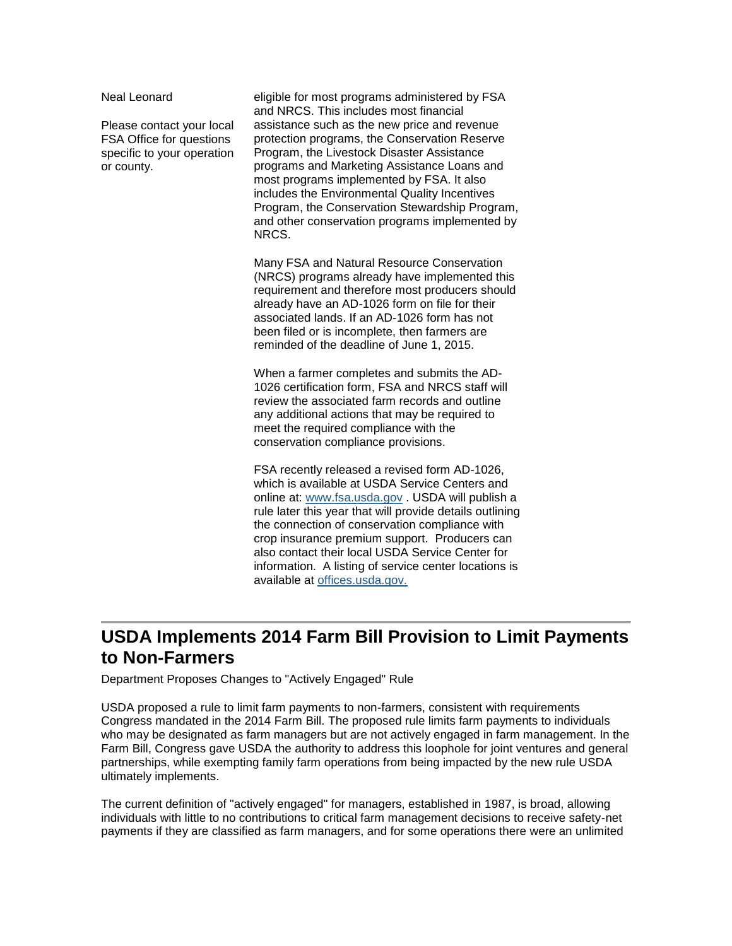Neal Leonard

Please contact your local FSA Office for questions specific to your operation or county.

eligible for most programs administered by FSA and NRCS. This includes most financial assistance such as the new price and revenue protection programs, the Conservation Reserve Program, the Livestock Disaster Assistance programs and Marketing Assistance Loans and most programs implemented by FSA. It also includes the Environmental Quality Incentives Program, the Conservation Stewardship Program, and other conservation programs implemented by NRCS.

Many FSA and Natural Resource Conservation (NRCS) programs already have implemented this requirement and therefore most producers should already have an AD-1026 form on file for their associated lands. If an AD-1026 form has not been filed or is incomplete, then farmers are reminded of the deadline of June 1, 2015.

When a farmer completes and submits the AD-1026 certification form, FSA and NRCS staff will review the associated farm records and outline any additional actions that may be required to meet the required compliance with the conservation compliance provisions.

FSA recently released a revised form AD-1026, which is available at USDA Service Centers and online at: [www.fsa.usda.gov](http://www.fsa.usda.gov/) . USDA will publish a rule later this year that will provide details outlining the connection of conservation compliance with crop insurance premium support. Producers can also contact their local USDA Service Center for information. A listing of service center locations is available at [offices.usda.gov.](http://offices.sc.egov.usda.gov/locator/app)

## <span id="page-1-0"></span>**USDA Implements 2014 Farm Bill Provision to Limit Payments to Non-Farmers**

Department Proposes Changes to "Actively Engaged" Rule

USDA proposed a rule to limit farm payments to non-farmers, consistent with requirements Congress mandated in the 2014 Farm Bill. The proposed rule limits farm payments to individuals who may be designated as farm managers but are not actively engaged in farm management. In the Farm Bill, Congress gave USDA the authority to address this loophole for joint ventures and general partnerships, while exempting family farm operations from being impacted by the new rule USDA ultimately implements.

The current definition of "actively engaged" for managers, established in 1987, is broad, allowing individuals with little to no contributions to critical farm management decisions to receive safety-net payments if they are classified as farm managers, and for some operations there were an unlimited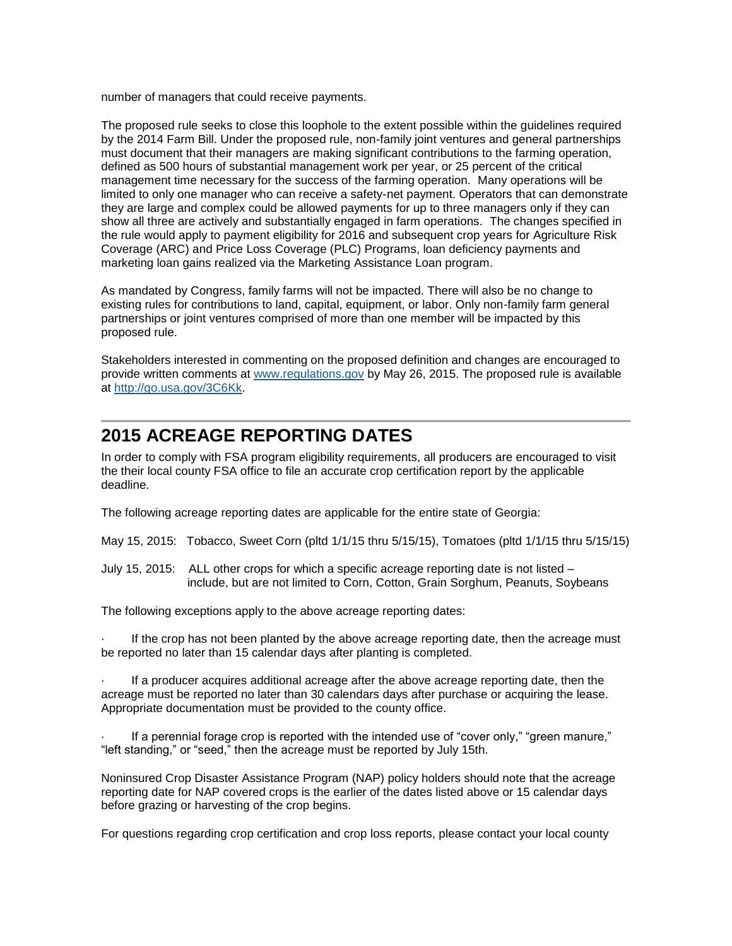number of managers that could receive payments.

The proposed rule seeks to close this loophole to the extent possible within the guidelines required by the 2014 Farm Bill. Under the proposed rule, non-family joint ventures and general partnerships must document that their managers are making significant contributions to the farming operation, defined as 500 hours of substantial management work per year, or 25 percent of the critical management time necessary for the success of the farming operation. Many operations will be limited to only one manager who can receive a safety-net payment. Operators that can demonstrate they are large and complex could be allowed payments for up to three managers only if they can show all three are actively and substantially engaged in farm operations. The changes specified in the rule would apply to payment eligibility for 2016 and subsequent crop years for Agriculture Risk Coverage (ARC) and Price Loss Coverage (PLC) Programs, loan deficiency payments and marketing loan gains realized via the Marketing Assistance Loan program.

As mandated by Congress, family farms will not be impacted. There will also be no change to existing rules for contributions to land, capital, equipment, or labor. Only non-family farm general partnerships or joint ventures comprised of more than one member will be impacted by this proposed rule.

Stakeholders interested in commenting on the proposed definition and changes are encouraged to provide written comments at [www.regulations.gov](http://www.regulations.gov/) by May 26, 2015. The proposed rule is available at [http://go.usa.gov/3C6Kk.](http://go.usa.gov/3C6Kk)

## <span id="page-2-0"></span>**2015 ACREAGE REPORTING DATES**

In order to comply with FSA program eligibility requirements, all producers are encouraged to visit the their local county FSA office to file an accurate crop certification report by the applicable deadline.

The following acreage reporting dates are applicable for the entire state of Georgia:

May 15, 2015: Tobacco, Sweet Corn (pltd 1/1/15 thru 5/15/15), Tomatoes (pltd 1/1/15 thru 5/15/15)

July 15, 2015: ALL other crops for which a specific acreage reporting date is not listed – include, but are not limited to Corn, Cotton, Grain Sorghum, Peanuts, Soybeans

The following exceptions apply to the above acreage reporting dates:

If the crop has not been planted by the above acreage reporting date, then the acreage must be reported no later than 15 calendar days after planting is completed.

· If a producer acquires additional acreage after the above acreage reporting date, then the acreage must be reported no later than 30 calendars days after purchase or acquiring the lease. Appropriate documentation must be provided to the county office.

If a perennial forage crop is reported with the intended use of "cover only," "green manure," "left standing," or "seed," then the acreage must be reported by July 15th.

Noninsured Crop Disaster Assistance Program (NAP) policy holders should note that the acreage reporting date for NAP covered crops is the earlier of the dates listed above or 15 calendar days before grazing or harvesting of the crop begins.

For questions regarding crop certification and crop loss reports, please contact your local county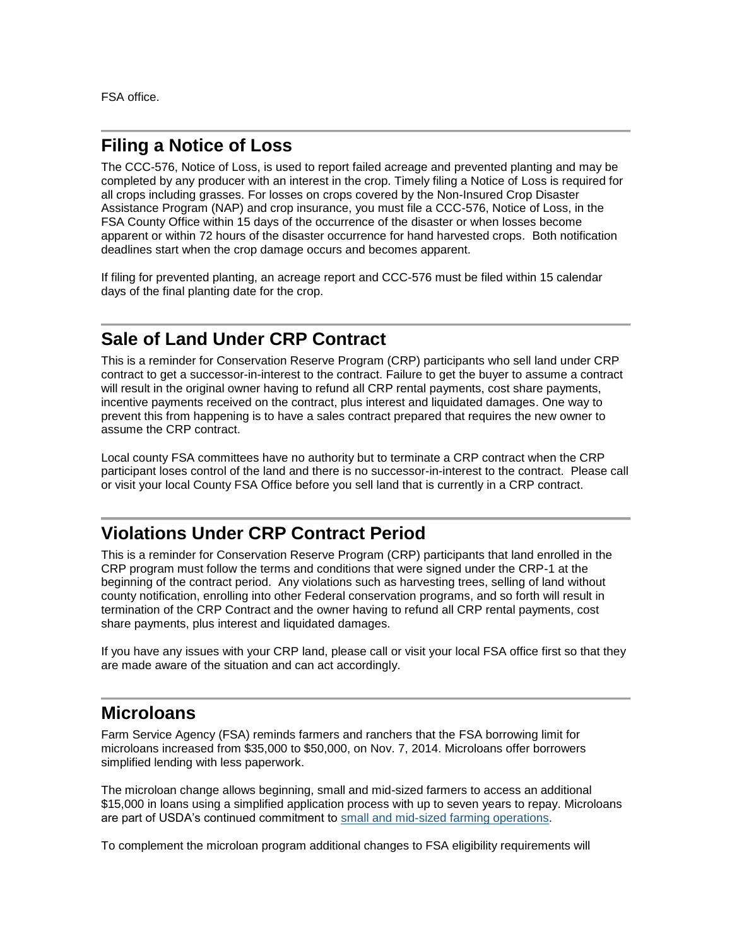FSA office.

#### <span id="page-3-0"></span>**Filing a Notice of Loss**

The CCC-576, Notice of Loss, is used to report failed acreage and prevented planting and may be completed by any producer with an interest in the crop. Timely filing a Notice of Loss is required for all crops including grasses. For losses on crops covered by the Non-Insured Crop Disaster Assistance Program (NAP) and crop insurance, you must file a CCC-576, Notice of Loss, in the FSA County Office within 15 days of the occurrence of the disaster or when losses become apparent or within 72 hours of the disaster occurrence for hand harvested crops. Both notification deadlines start when the crop damage occurs and becomes apparent.

If filing for prevented planting, an acreage report and CCC-576 must be filed within 15 calendar days of the final planting date for the crop.

#### <span id="page-3-1"></span>**Sale of Land Under CRP Contract**

This is a reminder for Conservation Reserve Program (CRP) participants who sell land under CRP contract to get a successor-in-interest to the contract. Failure to get the buyer to assume a contract will result in the original owner having to refund all CRP rental payments, cost share payments, incentive payments received on the contract, plus interest and liquidated damages. One way to prevent this from happening is to have a sales contract prepared that requires the new owner to assume the CRP contract.

Local county FSA committees have no authority but to terminate a CRP contract when the CRP participant loses control of the land and there is no successor-in-interest to the contract. Please call or visit your local County FSA Office before you sell land that is currently in a CRP contract.

## <span id="page-3-2"></span>**Violations Under CRP Contract Period**

This is a reminder for Conservation Reserve Program (CRP) participants that land enrolled in the CRP program must follow the terms and conditions that were signed under the CRP-1 at the beginning of the contract period. Any violations such as harvesting trees, selling of land without county notification, enrolling into other Federal conservation programs, and so forth will result in termination of the CRP Contract and the owner having to refund all CRP rental payments, cost share payments, plus interest and liquidated damages.

If you have any issues with your CRP land, please call or visit your local FSA office first so that they are made aware of the situation and can act accordingly.

#### <span id="page-3-3"></span>**Microloans**

Farm Service Agency (FSA) reminds farmers and ranchers that the FSA borrowing limit for microloans increased from \$35,000 to \$50,000, on Nov. 7, 2014. Microloans offer borrowers simplified lending with less paperwork.

The microloan change allows beginning, small and mid-sized farmers to access an additional \$15,000 in loans using a simplified application process with up to seven years to repay. Microloans are part of USDA's continued commitment to [small and mid-sized farming operations.](http://www.usda.gov/wps/portal/usda/usdahome?contentidonly=true&contentid=small-midsized-farmer-resources.xml)

To complement the microloan program additional changes to FSA eligibility requirements will